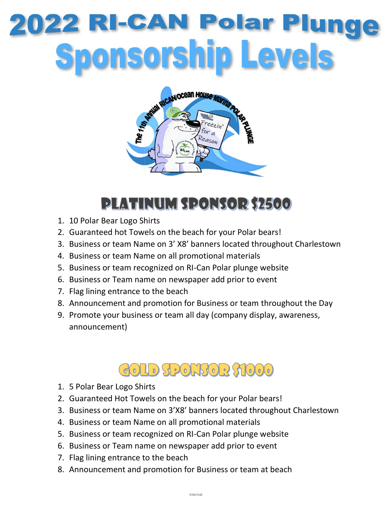# 022 RI-CAN Polar Pl onsorship Levels



## **PLATINUM SPONSOR \$2500**

- 1. 10 Polar Bear Logo Shirts
- 2. Guaranteed hot Towels on the beach for your Polar bears!
- 3. Business or team Name on 3' X8' banners located throughout Charlestown
- 4. Business or team Name on all promotional materials
- 5. Business or team recognized on RI-Can Polar plunge website
- 6. Business or Team name on newspaper add prior to event
- 7. Flag lining entrance to the beach
- 8. Announcement and promotion for Business or team throughout the Day
- 9. Promote your business or team all day (company display, awareness, announcement)

#### GOLD SPONSOR \$1000

- 1. 5 Polar Bear Logo Shirts
- 2. Guaranteed Hot Towels on the beach for your Polar bears!
- 3. Business or team Name on 3'X8' banners located throughout Charlestown
- 4. Business or team Name on all promotional materials
- 5. Business or team recognized on RI-Can Polar plunge website
- 6. Business or Team name on newspaper add prior to event
- 7. Flag lining entrance to the beach
- 8. Announcement and promotion for Business or team at beach